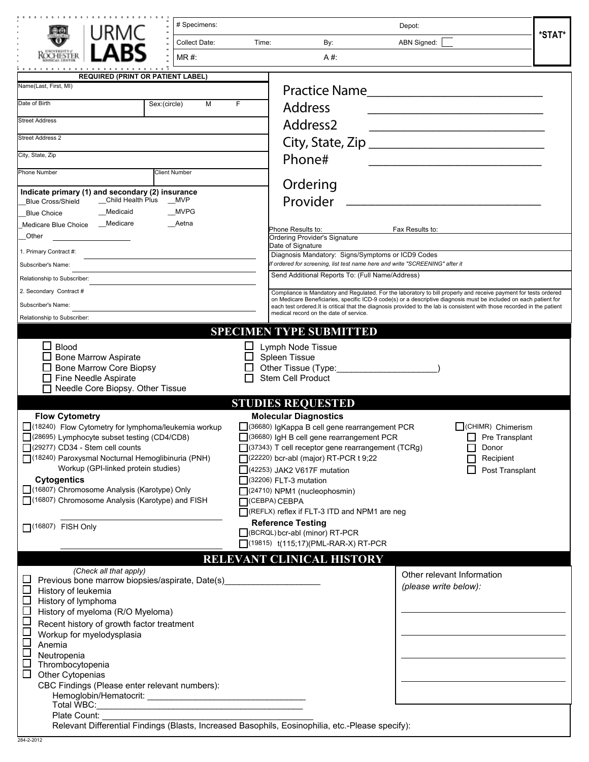| # Specimens:                                                                                                                                                                                                                                                                                                                                                                                                                                                                                                             | Depot:                                                                                                                                                                                                                                                                                                                                                                                                                                                                                                                                                                                                               |
|--------------------------------------------------------------------------------------------------------------------------------------------------------------------------------------------------------------------------------------------------------------------------------------------------------------------------------------------------------------------------------------------------------------------------------------------------------------------------------------------------------------------------|----------------------------------------------------------------------------------------------------------------------------------------------------------------------------------------------------------------------------------------------------------------------------------------------------------------------------------------------------------------------------------------------------------------------------------------------------------------------------------------------------------------------------------------------------------------------------------------------------------------------|
| <b>Collect Date:</b><br>Time:                                                                                                                                                                                                                                                                                                                                                                                                                                                                                            | *STAT*<br>ABN Signed:<br>By:                                                                                                                                                                                                                                                                                                                                                                                                                                                                                                                                                                                         |
| $MR#$ :                                                                                                                                                                                                                                                                                                                                                                                                                                                                                                                  | A#:                                                                                                                                                                                                                                                                                                                                                                                                                                                                                                                                                                                                                  |
|                                                                                                                                                                                                                                                                                                                                                                                                                                                                                                                          |                                                                                                                                                                                                                                                                                                                                                                                                                                                                                                                                                                                                                      |
| <b>REQUIRED (PRINT OR PATIENT LABEL)</b><br>Name(Last, First, MI)                                                                                                                                                                                                                                                                                                                                                                                                                                                        |                                                                                                                                                                                                                                                                                                                                                                                                                                                                                                                                                                                                                      |
| Date of Birth<br>Sex:(circle)<br>M<br>F.                                                                                                                                                                                                                                                                                                                                                                                                                                                                                 | <b>Practice Name</b>                                                                                                                                                                                                                                                                                                                                                                                                                                                                                                                                                                                                 |
|                                                                                                                                                                                                                                                                                                                                                                                                                                                                                                                          | <b>Address</b>                                                                                                                                                                                                                                                                                                                                                                                                                                                                                                                                                                                                       |
| <b>Street Address</b>                                                                                                                                                                                                                                                                                                                                                                                                                                                                                                    | Address <sub>2</sub>                                                                                                                                                                                                                                                                                                                                                                                                                                                                                                                                                                                                 |
| <b>Street Address 2</b>                                                                                                                                                                                                                                                                                                                                                                                                                                                                                                  |                                                                                                                                                                                                                                                                                                                                                                                                                                                                                                                                                                                                                      |
| City, State, Zip                                                                                                                                                                                                                                                                                                                                                                                                                                                                                                         | Phone#                                                                                                                                                                                                                                                                                                                                                                                                                                                                                                                                                                                                               |
| Phone Number<br><b>Client Number</b>                                                                                                                                                                                                                                                                                                                                                                                                                                                                                     |                                                                                                                                                                                                                                                                                                                                                                                                                                                                                                                                                                                                                      |
| Indicate primary (1) and secondary (2) insurance                                                                                                                                                                                                                                                                                                                                                                                                                                                                         | Ordering                                                                                                                                                                                                                                                                                                                                                                                                                                                                                                                                                                                                             |
| _Child Health Plus<br>__MVP<br><b>Blue Cross/Shield</b>                                                                                                                                                                                                                                                                                                                                                                                                                                                                  | Provider                                                                                                                                                                                                                                                                                                                                                                                                                                                                                                                                                                                                             |
| <b>MVPG</b><br>_Medicaid<br><b>Blue Choice</b>                                                                                                                                                                                                                                                                                                                                                                                                                                                                           |                                                                                                                                                                                                                                                                                                                                                                                                                                                                                                                                                                                                                      |
| Medicare Blue Choice __ Medicare<br>Aetna                                                                                                                                                                                                                                                                                                                                                                                                                                                                                | Phone Results to:<br>Fax Results to:                                                                                                                                                                                                                                                                                                                                                                                                                                                                                                                                                                                 |
| Other                                                                                                                                                                                                                                                                                                                                                                                                                                                                                                                    | <b>Ordering Provider's Signature</b><br>Date of Signature                                                                                                                                                                                                                                                                                                                                                                                                                                                                                                                                                            |
| 1. Primary Contract #:                                                                                                                                                                                                                                                                                                                                                                                                                                                                                                   | Diagnosis Mandatory: Signs/Symptoms or ICD9 Codes<br>If ordered for screening, list test name here and write "SCREENING" after it                                                                                                                                                                                                                                                                                                                                                                                                                                                                                    |
| Subscriber's Name:<br>Relationship to Subscriber:                                                                                                                                                                                                                                                                                                                                                                                                                                                                        | Send Additional Reports To: (Full Name/Address)                                                                                                                                                                                                                                                                                                                                                                                                                                                                                                                                                                      |
| 2. Secondary Contract #                                                                                                                                                                                                                                                                                                                                                                                                                                                                                                  | Compliance is Mandatory and Regulated. For the laboratory to bill properly and receive payment for tests ordered                                                                                                                                                                                                                                                                                                                                                                                                                                                                                                     |
| Subscriber's Name:                                                                                                                                                                                                                                                                                                                                                                                                                                                                                                       | on Medicare Beneficiaries, specific ICD-9 code(s) or a descriptive diagnosis must be included on each patient for<br>each test ordered. It is critical that the diagnosis provided to the lab is consistent with those recorded in the patient                                                                                                                                                                                                                                                                                                                                                                       |
| Relationship to Subscriber:                                                                                                                                                                                                                                                                                                                                                                                                                                                                                              | medical record on the date of service.                                                                                                                                                                                                                                                                                                                                                                                                                                                                                                                                                                               |
|                                                                                                                                                                                                                                                                                                                                                                                                                                                                                                                          | <b>SPECIMEN TYPE SUBMITTED</b>                                                                                                                                                                                                                                                                                                                                                                                                                                                                                                                                                                                       |
| $\Box$ Blood<br>$\Box$ Bone Marrow Aspirate<br><b>Bone Marrow Core Biopsy</b><br>Fine Needle Aspirate<br>Needle Core Biopsy. Other Tissue                                                                                                                                                                                                                                                                                                                                                                                | Lymph Node Tissue<br>Spleen Tissue<br>Other Tissue (Type: 2000)<br>Stem Cell Product                                                                                                                                                                                                                                                                                                                                                                                                                                                                                                                                 |
|                                                                                                                                                                                                                                                                                                                                                                                                                                                                                                                          | <b>STUDIES REQUESTED</b>                                                                                                                                                                                                                                                                                                                                                                                                                                                                                                                                                                                             |
| <b>Flow Cytometry</b><br>(18240) Flow Cytometry for lymphoma/leukemia workup<br>(28695) Lymphocyte subset testing (CD4/CD8)<br>$(29277)$ CD34 - Stem cell counts<br>[18240) Paroxysmal Nocturnal Hemoglibinuria (PNH)<br>Workup (GPI-linked protein studies)<br><b>Cytogentics</b><br>[16807) Chromosome Analysis (Karotype) Only<br>[(16807) Chromosome Analysis (Karotype) and FISH<br>$\Box$ (16807) FISH Only                                                                                                        | <b>Molecular Diagnostics</b><br>(36680) IgKappa B cell gene rearrangement PCR<br>CHIMR) Chimerism<br>(36680) IgH B cell gene rearrangement PCR<br>Pre Transplant<br>$\Box$ (37343) T cell receptor gene rearrangement (TCRg)<br>Donor<br>(22220) bcr-abl (major) RT-PCR t 9;22<br>Recipient<br>$(42253)$ JAK2 V617F mutation<br>Post Transplant<br>$(32206)$ FLT-3 mutation<br>$(24710)$ NPM1 (nucleophosmin)<br>CEBPA) CEBPA<br>REFLX) reflex if FLT-3 ITD and NPM1 are neg<br><b>Reference Testing</b><br>BCRQL) bcr-abl (minor) RT-PCR<br>(19815) t(115;17)(PML-RAR-X) RT-PCR<br><b>RELEVANT CLINICAL HISTORY</b> |
| (Check all that apply)                                                                                                                                                                                                                                                                                                                                                                                                                                                                                                   | Other relevant Information                                                                                                                                                                                                                                                                                                                                                                                                                                                                                                                                                                                           |
| └<br>Previous bone marrow biopsies/aspirate, Date(s)<br>$\mathcal{L}_{\mathcal{A}}$<br>History of leukemia<br>$\Box$<br>History of lymphoma<br>⊑<br>History of myeloma (R/O Myeloma)<br>$\Box$<br>Recent history of growth factor treatment<br>⊏<br>Workup for myelodysplasia<br>$\Box$<br>Anemia<br>$\Box$<br>Neutropenia<br>$\Box$<br>Thrombocytopenia<br>Other Cytopenias<br>CBC Findings (Please enter relevant numbers):<br>Total WBC:<br><u> 1989 - Johann John Stone, mensk politik (f. 1989)</u><br>Plate Count: | (please write below):                                                                                                                                                                                                                                                                                                                                                                                                                                                                                                                                                                                                |
| Relevant Differential Findings (Blasts, Increased Basophils, Eosinophilia, etc.-Please specify):<br>20422012                                                                                                                                                                                                                                                                                                                                                                                                             |                                                                                                                                                                                                                                                                                                                                                                                                                                                                                                                                                                                                                      |